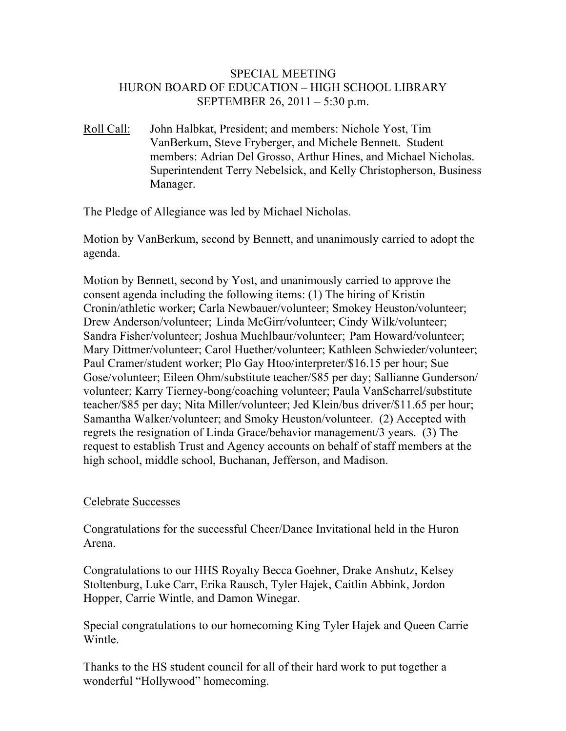# SPECIAL MEETING HURON BOARD OF EDUCATION – HIGH SCHOOL LIBRARY SEPTEMBER 26, 2011 – 5:30 p.m.

Roll Call: John Halbkat, President; and members: Nichole Yost, Tim VanBerkum, Steve Fryberger, and Michele Bennett. Student members: Adrian Del Grosso, Arthur Hines, and Michael Nicholas. Superintendent Terry Nebelsick, and Kelly Christopherson, Business Manager.

The Pledge of Allegiance was led by Michael Nicholas.

Motion by VanBerkum, second by Bennett, and unanimously carried to adopt the agenda.

Motion by Bennett, second by Yost, and unanimously carried to approve the consent agenda including the following items: (1) The hiring of Kristin Cronin/athletic worker; Carla Newbauer/volunteer; Smokey Heuston/volunteer; Drew Anderson/volunteer; Linda McGirr/volunteer; Cindy Wilk/volunteer; Sandra Fisher/volunteer; Joshua Muehlbaur/volunteer; Pam Howard/volunteer; Mary Dittmer/volunteer; Carol Huether/volunteer; Kathleen Schwieder/volunteer; Paul Cramer/student worker; Plo Gay Htoo/interpreter/\$16.15 per hour; Sue Gose/volunteer; Eileen Ohm/substitute teacher/\$85 per day; Sallianne Gunderson/ volunteer; Karry Tierney-bong/coaching volunteer; Paula VanScharrel/substitute teacher/\$85 per day; Nita Miller/volunteer; Jed Klein/bus driver/\$11.65 per hour; Samantha Walker/volunteer; and Smoky Heuston/volunteer. (2) Accepted with regrets the resignation of Linda Grace/behavior management/3 years. (3) The request to establish Trust and Agency accounts on behalf of staff members at the high school, middle school, Buchanan, Jefferson, and Madison.

# Celebrate Successes

Congratulations for the successful Cheer/Dance Invitational held in the Huron Arena.

Congratulations to our HHS Royalty Becca Goehner, Drake Anshutz, Kelsey Stoltenburg, Luke Carr, Erika Rausch, Tyler Hajek, Caitlin Abbink, Jordon Hopper, Carrie Wintle, and Damon Winegar.

Special congratulations to our homecoming King Tyler Hajek and Queen Carrie Wintle.

Thanks to the HS student council for all of their hard work to put together a wonderful "Hollywood" homecoming.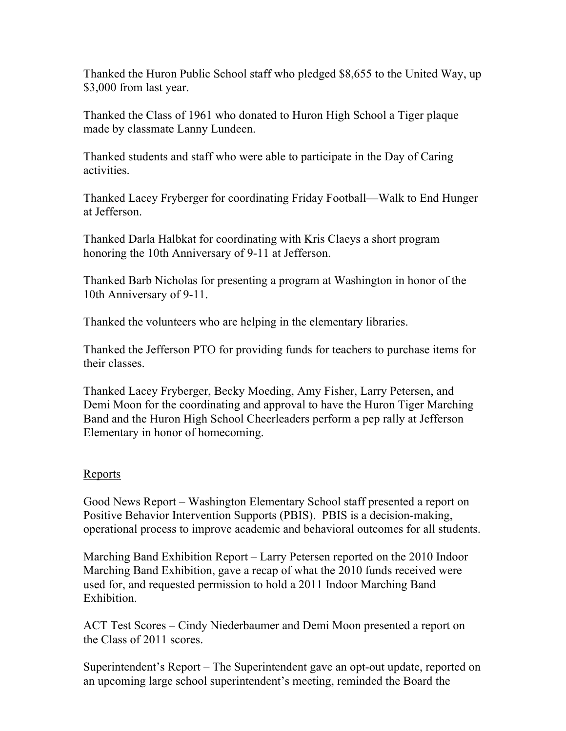Thanked the Huron Public School staff who pledged \$8,655 to the United Way, up \$3,000 from last year.

Thanked the Class of 1961 who donated to Huron High School a Tiger plaque made by classmate Lanny Lundeen.

Thanked students and staff who were able to participate in the Day of Caring activities.

Thanked Lacey Fryberger for coordinating Friday Football—Walk to End Hunger at Jefferson.

Thanked Darla Halbkat for coordinating with Kris Claeys a short program honoring the 10th Anniversary of 9-11 at Jefferson.

Thanked Barb Nicholas for presenting a program at Washington in honor of the 10th Anniversary of 9-11.

Thanked the volunteers who are helping in the elementary libraries.

Thanked the Jefferson PTO for providing funds for teachers to purchase items for their classes.

Thanked Lacey Fryberger, Becky Moeding, Amy Fisher, Larry Petersen, and Demi Moon for the coordinating and approval to have the Huron Tiger Marching Band and the Huron High School Cheerleaders perform a pep rally at Jefferson Elementary in honor of homecoming.

# Reports

Good News Report – Washington Elementary School staff presented a report on Positive Behavior Intervention Supports (PBIS). PBIS is a decision-making, operational process to improve academic and behavioral outcomes for all students.

Marching Band Exhibition Report – Larry Petersen reported on the 2010 Indoor Marching Band Exhibition, gave a recap of what the 2010 funds received were used for, and requested permission to hold a 2011 Indoor Marching Band Exhibition.

ACT Test Scores – Cindy Niederbaumer and Demi Moon presented a report on the Class of 2011 scores.

Superintendent's Report – The Superintendent gave an opt-out update, reported on an upcoming large school superintendent's meeting, reminded the Board the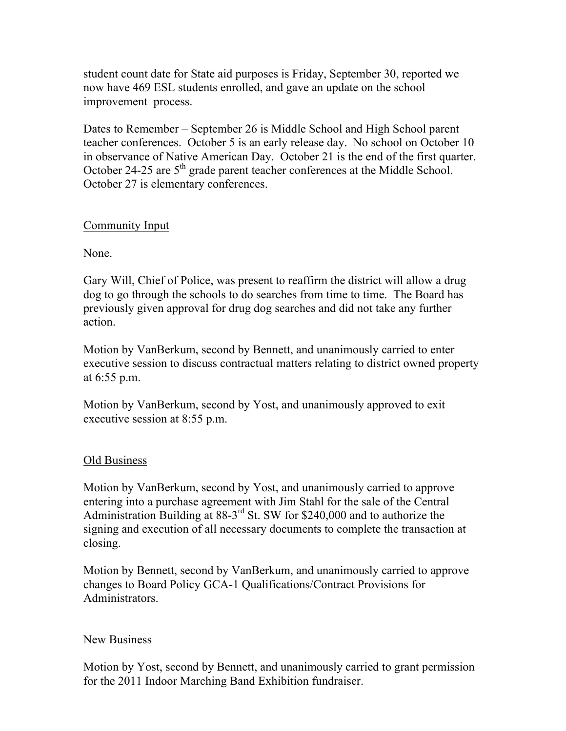student count date for State aid purposes is Friday, September 30, reported we now have 469 ESL students enrolled, and gave an update on the school improvement process.

Dates to Remember – September 26 is Middle School and High School parent teacher conferences. October 5 is an early release day. No school on October 10 in observance of Native American Day. October 21 is the end of the first quarter. October 24-25 are 5<sup>th</sup> grade parent teacher conferences at the Middle School. October 27 is elementary conferences.

# Community Input

None.

Gary Will, Chief of Police, was present to reaffirm the district will allow a drug dog to go through the schools to do searches from time to time. The Board has previously given approval for drug dog searches and did not take any further action.

Motion by VanBerkum, second by Bennett, and unanimously carried to enter executive session to discuss contractual matters relating to district owned property at 6:55 p.m.

Motion by VanBerkum, second by Yost, and unanimously approved to exit executive session at 8:55 p.m.

# Old Business

Motion by VanBerkum, second by Yost, and unanimously carried to approve entering into a purchase agreement with Jim Stahl for the sale of the Central Administration Building at 88-3<sup>rd</sup> St. SW for \$240,000 and to authorize the signing and execution of all necessary documents to complete the transaction at closing.

Motion by Bennett, second by VanBerkum, and unanimously carried to approve changes to Board Policy GCA-1 Qualifications/Contract Provisions for Administrators.

### New Business

Motion by Yost, second by Bennett, and unanimously carried to grant permission for the 2011 Indoor Marching Band Exhibition fundraiser.